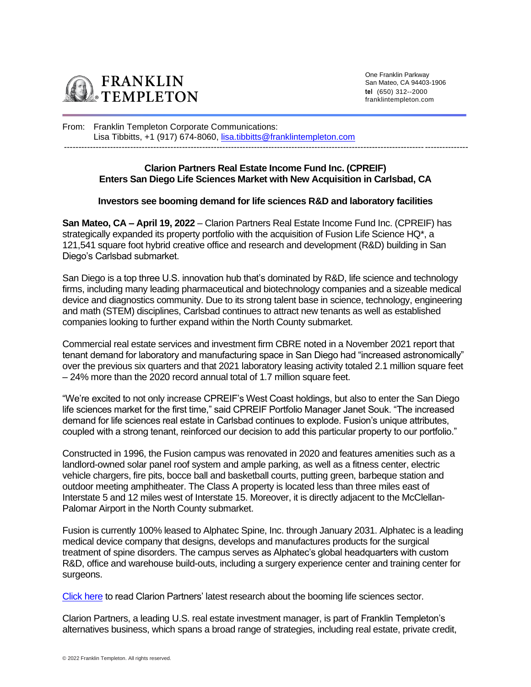

One Franklin Parkway San Mateo, CA 94403-1906 **tel** (650) 312--2000 franklintempleton.com

From: Franklin Templeton Corporate Communications: Lisa Tibbitts, +1 (917) 674-8060, [lisa.tibbitts@franklintempleton.com](mailto:lisa.tibbitts@franklintempleton.com) --------------------------------------------------------------------------------------------------------------------------------------------

# **Clarion Partners Real Estate Income Fund Inc. (CPREIF) Enters San Diego Life Sciences Market with New Acquisition in Carlsbad, CA**

## **Investors see booming demand for life sciences R&D and laboratory facilities**

**San Mateo, CA – April 19, 2022** – Clarion Partners Real Estate Income Fund Inc. (CPREIF) has strategically expanded its property portfolio with the acquisition of Fusion Life Science HQ\*, a 121,541 square foot hybrid creative office and research and development (R&D) building in San Diego's Carlsbad submarket.

San Diego is a top three U.S. innovation hub that's dominated by R&D, life science and technology firms, including many leading pharmaceutical and biotechnology companies and a sizeable medical device and diagnostics community. Due to its strong talent base in science, technology, engineering and math (STEM) disciplines, Carlsbad continues to attract new tenants as well as established companies looking to further expand within the North County submarket.

Commercial real estate services and investment firm CBRE noted in a November 2021 report that tenant demand for laboratory and manufacturing space in San Diego had "increased astronomically" over the previous six quarters and that 2021 laboratory leasing activity totaled 2.1 million square feet – 24% more than the 2020 record annual total of 1.7 million square feet.

"We're excited to not only increase CPREIF's West Coast holdings, but also to enter the San Diego life sciences market for the first time," said CPREIF Portfolio Manager Janet Souk. "The increased demand for life sciences real estate in Carlsbad continues to explode. Fusion's unique attributes, coupled with a strong tenant, reinforced our decision to add this particular property to our portfolio."

Constructed in 1996, the Fusion campus was renovated in 2020 and features amenities such as a landlord-owned solar panel roof system and ample parking, as well as a fitness center, electric vehicle chargers, fire pits, bocce ball and basketball courts, putting green, barbeque station and outdoor meeting amphitheater. The Class A property is located less than three miles east of Interstate 5 and 12 miles west of Interstate 15. Moreover, it is directly adjacent to the McClellan-Palomar Airport in the North County submarket.

Fusion is currently 100% leased to Alphatec Spine, Inc. through January 2031. Alphatec is a leading medical device company that designs, develops and manufactures products for the surgical treatment of spine disorders. The campus serves as Alphatec's global headquarters with custom R&D, office and warehouse build-outs, including a surgery experience center and training center for surgeons.

[Click here](https://www.clarionpartners.com/insights/life-sciences-real-estate) to read Clarion Partners' latest research about the booming life sciences sector.

Clarion Partners, a leading U.S. real estate investment manager, is part of Franklin Templeton's alternatives business, which spans a broad range of strategies, including real estate, private credit,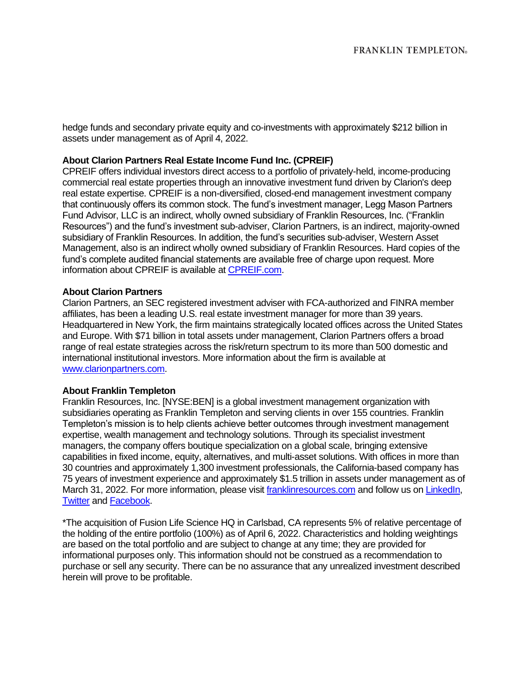hedge funds and secondary private equity and co-investments with approximately \$212 billion in assets under management as of April 4, 2022.

## **About Clarion Partners Real Estate Income Fund Inc. (CPREIF)**

CPREIF offers individual investors direct access to a portfolio of privately-held, income-producing commercial real estate properties through an innovative investment fund driven by Clarion's deep real estate expertise. CPREIF is a non-diversified, closed-end management investment company that continuously offers its common stock. The fund's investment manager, Legg Mason Partners Fund Advisor, LLC is an indirect, wholly owned subsidiary of Franklin Resources, Inc. ("Franklin Resources") and the fund's investment sub-adviser, Clarion Partners, is an indirect, majority-owned subsidiary of Franklin Resources. In addition, the fund's securities sub-adviser, Western Asset Management, also is an indirect wholly owned subsidiary of Franklin Resources. Hard copies of the fund's complete audited financial statements are available free of charge upon request. More information about CPREIF is available at [CPREIF.com.](https://www.cpreif.com/)

### **About Clarion Partners**

Clarion Partners, an SEC registered investment adviser with FCA-authorized and FINRA member affiliates, has been a leading U.S. real estate investment manager for more than 39 years. Headquartered in New York, the firm maintains strategically located offices across the United States and Europe. With \$71 billion in total assets under management, Clarion Partners offers a broad range of real estate strategies across the risk/return spectrum to its more than 500 domestic and international institutional investors. More information about the firm is available at [www.clarionpartners.com.](https://www.clarionpartners.com/Pages/default.aspx)

#### **About Franklin Templeton**

Franklin Resources, Inc. [NYSE:BEN] is a global investment management organization with subsidiaries operating as Franklin Templeton and serving clients in over 155 countries. Franklin Templeton's mission is to help clients achieve better outcomes through investment management expertise, wealth management and technology solutions. Through its specialist investment managers, the company offers boutique specialization on a global scale, bringing extensive capabilities in fixed income, equity, alternatives, and multi-asset solutions. With offices in more than 30 countries and approximately 1,300 investment professionals, the California-based company has 75 years of investment experience and approximately \$1.5 trillion in assets under management as of March 31, 2022. For more information, please visi[t franklinresources.com](https://urldefense.proofpoint.com/v2/url?u=http-3A__franklinresources.com&d=DwMFAg&c=PMBNytmjBbkRgFcdMTUT4Q&r=SrT8MG32j5MCV8Aj535r_SzAcgdJljlot_fvUr_dKbg&m=KLR-45kBbVSsTnKxXLonAZIETjbPc20gPiDvmmySALw&s=WihpbNQQcljcfNcxobHbAyJWlDS3RSXbelilO-lWCHk&e=) and follow us on [LinkedIn,](https://www.linkedin.com/company/franklin-templeton/) [Twitter](https://twitter.com/FTI_US) an[d Facebook.](https://www.facebook.com/franklintempleton/)

\*The acquisition of Fusion Life Science HQ in Carlsbad, CA represents 5% of relative percentage of the holding of the entire portfolio (100%) as of April 6, 2022. Characteristics and holding weightings are based on the total portfolio and are subject to change at any time; they are provided for informational purposes only. This information should not be construed as a recommendation to purchase or sell any security. There can be no assurance that any unrealized investment described herein will prove to be profitable.